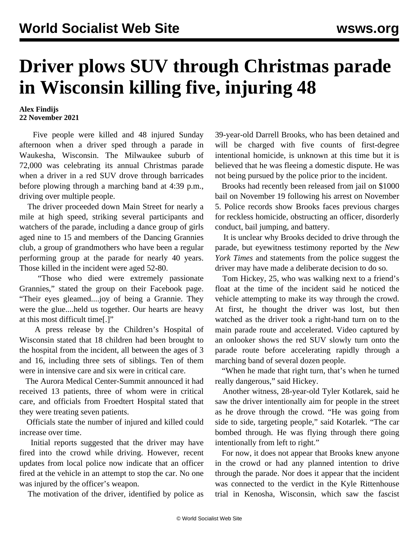## **Driver plows SUV through Christmas parade in Wisconsin killing five, injuring 48**

## **Alex Findijs 22 November 2021**

 Five people were killed and 48 injured Sunday afternoon when a driver sped through a parade in Waukesha, Wisconsin. The Milwaukee suburb of 72,000 was celebrating its annual Christmas parade when a driver in a red SUV drove through barricades before plowing through a marching band at 4:39 p.m., driving over multiple people.

 The driver proceeded down Main Street for nearly a mile at high speed, striking several participants and watchers of the parade, including a dance group of girls aged nine to 15 and members of the Dancing Grannies club, a group of grandmothers who have been a regular performing group at the parade for nearly 40 years. Those killed in the incident were aged 52-80.

 "Those who died were extremely passionate Grannies," stated the group on their Facebook page. "Their eyes gleamed....joy of being a Grannie. They were the glue....held us together. Our hearts are heavy at this most difficult time[.]"

 A press release by the Children's Hospital of Wisconsin stated that 18 children had been brought to the hospital from the incident, all between the ages of 3 and 16, including three sets of siblings. Ten of them were in intensive care and six were in critical care.

 The Aurora Medical Center-Summit announced it had received 13 patients, three of whom were in critical care, and officials from Froedtert Hospital stated that they were treating seven patients.

 Officials state the number of injured and killed could increase over time.

 Initial reports suggested that the driver may have fired into the crowd while driving. However, recent updates from local police now indicate that an officer fired at the vehicle in an attempt to stop the car. No one was injured by the officer's weapon.

The motivation of the driver, identified by police as

39-year-old Darrell Brooks, who has been detained and will be charged with five counts of first-degree intentional homicide, is unknown at this time but it is believed that he was fleeing a domestic dispute. He was not being pursued by the police prior to the incident.

 Brooks had recently been released from jail on \$1000 bail on November 19 following his arrest on November 5. Police records show Brooks faces previous charges for reckless homicide, obstructing an officer, disorderly conduct, bail jumping, and battery.

 It is unclear why Brooks decided to drive through the parade, but eyewitness testimony reported by the *New York Times* and statements from the police suggest the driver may have made a deliberate decision to do so.

 Tom Hickey, 25, who was walking next to a friend's float at the time of the incident said he noticed the vehicle attempting to make its way through the crowd. At first, he thought the driver was lost, but then watched as the driver took a right-hand turn on to the main parade route and accelerated. Video captured by an onlooker shows the red SUV slowly turn onto the parade route before accelerating rapidly through a marching band of several dozen people.

 "When he made that right turn, that's when he turned really dangerous," said Hickey.

 Another witness, 28-year-old Tyler Kotlarek, said he saw the driver intentionally aim for people in the street as he drove through the crowd. "He was going from side to side, targeting people," said Kotarlek. "The car bombed through. He was flying through there going intentionally from left to right."

 For now, it does not appear that Brooks knew anyone in the crowd or had any planned intention to drive through the parade. Nor does it appear that the incident was connected to the verdict in the Kyle Rittenhouse trial in Kenosha, Wisconsin, which saw the fascist